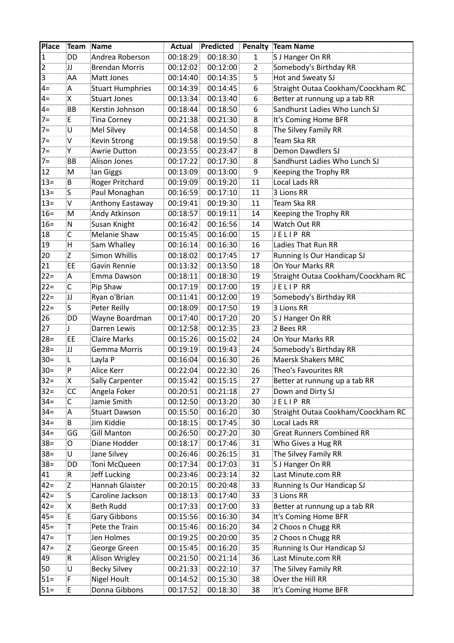| Place    | Team Name      |                                       | <b>Actual</b>        | <b>Predicted</b>     | Penalty      | Team Name                                  |
|----------|----------------|---------------------------------------|----------------------|----------------------|--------------|--------------------------------------------|
| 1        | DD             | Andrea Roberson                       | 00:18:29             | 00:18:30             | $\mathbf{1}$ | S J Hanger On RR                           |
| 2        | IJ             | <b>Brendan Morris</b>                 | 00:12:02             | 00:12:00             | 2            | Somebody's Birthday RR                     |
| 3        | ΆA             | Matt Jones                            | 00:14:40             | 00:14:35             | 5            | Hot and Sweaty SJ                          |
| $4=$     | Α              | <b>Stuart Humphries</b>               | 00:14:39             | 00:14:45             | 6            | Straight Outaa Cookham/Coockham RC         |
| $4=$     | X              | Stuart Jones                          | 00:13:34             | 00:13:40             | 6            | Better at runnung up a tab RR              |
| $4=$     | BB             | Kerstin Johnson                       | 00:18:44             | 00:18:50             | 6            | Sandhurst Ladies Who Lunch SJ              |
| 7=       | E.             | Tina Corney                           | 00:21:38             | 00:21:30             | 8            | It's Coming Home BFR                       |
| $7=$     | U              | Mel Silvey                            | 00:14:58             | 00:14:50             | 8            | The Silvey Family RR                       |
| $7=$     | $\mathsf{V}$   | Kevin Strong                          | 00:19:58             | 00:19:50             | 8            | Team Ska RR                                |
| $7=$     | Y              | <b>Awrie Dutton</b>                   | 00:23:55             | 00:23:47             | 8            | Demon Dawdlers SJ                          |
| $7=$     | BB             | Alison Jones                          | 00:17:22             | 00:17:30             | 8            | Sandhurst Ladies Who Lunch SJ              |
| 12       | M              | lan Giggs                             | 00:13:09             | 00:13:00             | 9            | Keeping the Trophy RR                      |
| $13 =$   | B              | Roger Pritchard                       | 00:19:09             | 00:19:20             | 11           | Local Lads RR                              |
| $13 =$   | S.             | Paul Monaghan                         | 00:16:59             | 00:17:10             | 11           | 3 Lions RR                                 |
| $13=$    | <b>V</b>       | Anthony Eastaway                      | 00:19:41             | 00:19:30             | 11           | Team Ska RR                                |
| $16 =$   | M              | Andy Atkinson                         | 00:18:57             | 00:19:11             | 14           | Keeping the Trophy RR                      |
| $16 =$   | N              | Susan Knight                          | 00:16:42             | 00:16:56             | 14           | Watch Out RR                               |
| 18       | C              | <b>Melanie Shaw</b>                   | 00:15:45             | 00:16:00             | 15           | JELIP RR                                   |
| 19       | Ή              | Sam Whalley                           | 00:16:14             | 00:16:30             | 16           | Ladies That Run RR                         |
| 20       | Z              | Simon Whillis                         | 00:18:02             | 00:17:45             | 17           | Running Is Our Handicap SJ                 |
| 21       | EE             | Gavin Rennie                          | 00:13:32             | 00:13:50             | 18           | On Your Marks RR                           |
| $22 =$   | Α              | Emma Dawson                           | 00:18:11             | 00:18:30             | 19           | Straight Outaa Cookham/Coockham RC         |
| $22 =$   | $\mathsf{C}$   | Pip Shaw                              | 00:17:19             | 00:17:00             | 19           | JELIP RR                                   |
| $22 =$   | IJ             | Ryan o'Brian                          | 00:11:41             | 00:12:00             | 19           | Somebody's Birthday RR                     |
| $22 =$   | S.             | Peter Reilly                          | 00:18:09             | 00:17:50             | 19           | 3 Lions RR                                 |
| 26       | DD             | Wayne Boardman                        | 00:17:40             | 00:17:20             | 20           | S J Hanger On RR                           |
| 27       | IJ.            | Darren Lewis                          | 00:12:58             | 00:12:35             | 23           | 2 Bees RR                                  |
| $28 =$   | EE             | <b>Claire Marks</b>                   | 00:15:26             | 00:15:02             | 24           | On Your Marks RR                           |
| $28=$    | IJ             | Gemma Morris                          | 00:19:19             | 00:19:43             | 24           | Somebody's Birthday RR                     |
| $30 =$   | L.             | Layla P                               | 00:16:04             | 00:16:30             | 26           | <b>Maersk Shakers MRC</b>                  |
| $30=$    | P              | Alice Kerr                            | 00:22:04             | 00:22:30             | 26           | Theo's Favourites RR                       |
| $32=$    | Х              | <b>Sally Carpenter</b>                | 00:15:42             | 00:15:15             | 27           |                                            |
| $32 =$   | <b>CC</b>      | Angela Foker                          | 00:20:51             | 00:21:18             | 27           | Down and Dirty SJ                          |
| $34 =$   | C              | Jamie Smith                           | 00:12:50             | 00:13:20             | 30           | JELIP RR                                   |
| $34 =$   | A              | <b>Stuart Dawson</b>                  | 00:15:50             | 00:16:20             | 30           | Straight Outaa Cookham/Coockham RC         |
| $34 =$   | B              | Jim Kiddie                            | 00:18:15             | 00:17:45             | 30           | <b>Local Lads RR</b>                       |
| $34 =$   | GG             | Gill Manton                           | 00:26:50             | 00:27:20             | 30           | <b>Great Runners Combined RR</b>           |
| $38 =$   | O              | Diane Hodder                          | 00:18:17             | 00:17:46             | 31           | Who Gives a Hug RR                         |
| $38 =$   | U              | Jane Silvey                           | 00:26:46             | 00:26:15             | 31           | The Silvey Family RR                       |
| $38 =$   | DD             | Toni McQueen                          | 00:17:34             | 00:17:03             | 31           | S J Hanger On RR                           |
| 41       | .R             | Jeff Lucking                          | 00:23:46             | 00:23:14             | 32           | Last Minute.com RR                         |
| $42 =$   | Z              | Hannah Glaister                       | 00:20:15             | 00:20:48             | 33           | Running Is Our Handicap SJ                 |
| $ 42=$   | S.             | Caroline Jackson                      | 00:18:13             | 00:17:40             | 33           | 3 Lions RR                                 |
| $42 =$   | X              | <b>Beth Rudd</b>                      | 00:17:33             | 00:17:00             | 33           | Better at runnung up a tab RR              |
| $45 =$   | E.             | Gary Gibbons                          | 00:15:56             | 00:16:30             | 34           | It's Coming Home BFR                       |
| $45 =$   | $\top$         | Pete the Train                        | 00:15:46             | 00:16:20             | 34           | 2 Choos n Chugg RR                         |
| $47 =$   | $ \mathsf{T} $ | Jen Holmes                            |                      |                      | 35           | 2 Choos n Chugg RR                         |
| $47=$    | Z              | George Green                          | 00:19:25             | 00:20:00<br>00:16:20 | 35           | Running Is Our Handicap SJ                 |
|          |                |                                       | 00:15:45             |                      |              |                                            |
| 49<br>50 | R<br>U         | Alison Wrigley<br><b>Becky Silvey</b> | 00:21:50<br>00:21:33 | 00:21:14<br>00:22:10 | 36<br>37     | Last Minute.com RR<br>The Silvey Family RR |
|          |                |                                       |                      |                      |              |                                            |
| $51 =$   | F              | Nigel Hoult                           | 00:14:52             | 00:15:30             | 38           | Over the Hill RR                           |
| $51 =$   | E              | Donna Gibbons                         | 00:17:52             | 00:18:30             | 38           | It's Coming Home BFR                       |